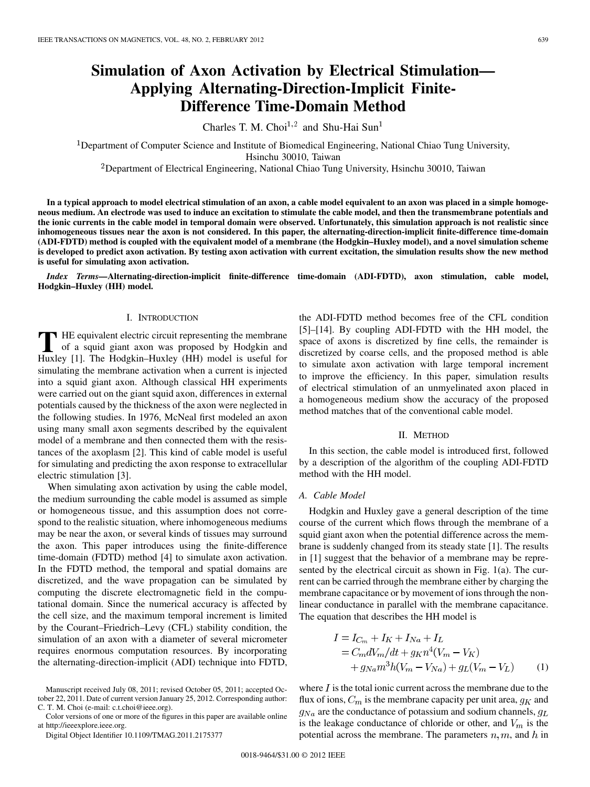# **Simulation of Axon Activation by Electrical Stimulation— Applying Alternating-Direction-Implicit Finite-Difference Time-Domain Method**

Charles T. M. Choi<sup>1,2</sup> and Shu-Hai Sun<sup>1</sup>

<sup>1</sup>Department of Computer Science and Institute of Biomedical Engineering, National Chiao Tung University, Hsinchu 30010, Taiwan

Department of Electrical Engineering, National Chiao Tung University, Hsinchu 30010, Taiwan

**In a typical approach to model electrical stimulation of an axon, a cable model equivalent to an axon was placed in a simple homogeneous medium. An electrode was used to induce an excitation to stimulate the cable model, and then the transmembrane potentials and the ionic currents in the cable model in temporal domain were observed. Unfortunately, this simulation approach is not realistic since inhomogeneous tissues near the axon is not considered. In this paper, the alternating-direction-implicit finite-difference time-domain (ADI-FDTD) method is coupled with the equivalent model of a membrane (the Hodgkin–Huxley model), and a novel simulation scheme is developed to predict axon activation. By testing axon activation with current excitation, the simulation results show the new method is useful for simulating axon activation.**

*Index Terms—***Alternating-direction-implicit finite-difference time-domain (ADI-FDTD), axon stimulation, cable model, Hodgkin–Huxley (HH) model.**

## I. INTRODUCTION

**T** HE equivalent electric circuit representing the membrane<br>of a squid giant axon was proposed by Hodgkin and<br>Huyley [1] The Hodgkin Huyley (HH) model is useful for Huxley [1]. The Hodgkin–Huxley (HH) model is useful for simulating the membrane activation when a current is injected into a squid giant axon. Although classical HH experiments were carried out on the giant squid axon, differences in external potentials caused by the thickness of the axon were neglected in the following studies. In 1976, McNeal first modeled an axon using many small axon segments described by the equivalent model of a membrane and then connected them with the resistances of the axoplasm [2]. This kind of cable model is useful for simulating and predicting the axon response to extracellular electric stimulation [3].

When simulating axon activation by using the cable model, the medium surrounding the cable model is assumed as simple or homogeneous tissue, and this assumption does not correspond to the realistic situation, where inhomogeneous mediums may be near the axon, or several kinds of tissues may surround the axon. This paper introduces using the finite-difference time-domain (FDTD) method [4] to simulate axon activation. In the FDTD method, the temporal and spatial domains are discretized, and the wave propagation can be simulated by computing the discrete electromagnetic field in the computational domain. Since the numerical accuracy is affected by the cell size, and the maximum temporal increment is limited by the Courant–Friedrich–Levy (CFL) stability condition, the simulation of an axon with a diameter of several micrometer requires enormous computation resources. By incorporating the alternating-direction-implicit (ADI) technique into FDTD,

Color versions of one or more of the figures in this paper are available online at http://ieeexplore.ieee.org.

Digital Object Identifier 10.1109/TMAG.2011.2175377

the ADI-FDTD method becomes free of the CFL condition [5]–[14]. By coupling ADI-FDTD with the HH model, the space of axons is discretized by fine cells, the remainder is discretized by coarse cells, and the proposed method is able to simulate axon activation with large temporal increment to improve the efficiency. In this paper, simulation results of electrical stimulation of an unmyelinated axon placed in a homogeneous medium show the accuracy of the proposed method matches that of the conventional cable model.

#### II. METHOD

In this section, the cable model is introduced first, followed by a description of the algorithm of the coupling ADI-FDTD method with the HH model.

#### *A. Cable Model*

Hodgkin and Huxley gave a general description of the time course of the current which flows through the membrane of a squid giant axon when the potential difference across the membrane is suddenly changed from its steady state [1]. The results in [1] suggest that the behavior of a membrane may be represented by the electrical circuit as shown in Fig. 1(a). The current can be carried through the membrane either by charging the membrane capacitance or by movement of ions through the nonlinear conductance in parallel with the membrane capacitance. The equation that describes the HH model is

$$
I = I_{C_m} + I_K + I_{Na} + I_L
$$
  
=  $C_m dV_m/dt + g_K n^4 (V_m - V_K)$   
+  $g_{Na} m^3 h (V_m - V_{Na}) + g_L (V_m - V_L)$  (1)

where  $I$  is the total ionic current across the membrane due to the flux of ions,  $C_m$  is the membrane capacity per unit area,  $g_K$  and  $q_{Na}$  are the conductance of potassium and sodium channels,  $q_L$ is the leakage conductance of chloride or other, and  $V_m$  is the potential across the membrane. The parameters  $n, m$ , and  $h$  in

Manuscript received July 08, 2011; revised October 05, 2011; accepted October 22, 2011. Date of current version January 25, 2012. Corresponding author: C. T. M. Choi (e-mail: c.t.choi@ieee.org).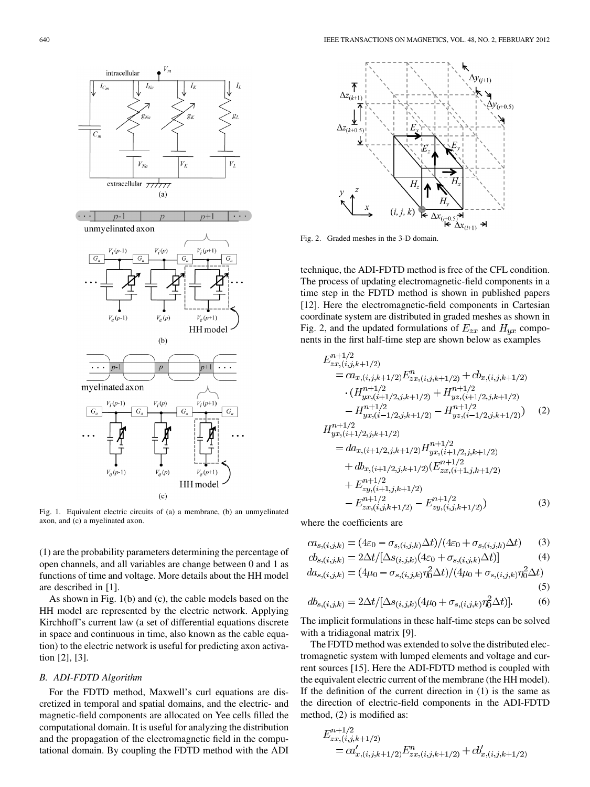

Fig. 1. Equivalent electric circuits of (a) a membrane, (b) an unmyelinated axon, and (c) a myelinated axon.

(1) are the probability parameters determining the percentage of open channels, and all variables are change between 0 and 1 as functions of time and voltage. More details about the HH model are described in [1].

As shown in Fig. 1(b) and (c), the cable models based on the HH model are represented by the electric network. Applying Kirchhoff's current law (a set of differential equations discrete in space and continuous in time, also known as the cable equation) to the electric network is useful for predicting axon activation [2], [3].

# *B. ADI-FDTD Algorithm*

For the FDTD method, Maxwell's curl equations are discretized in temporal and spatial domains, and the electric- and magnetic-field components are allocated on Yee cells filled the computational domain. It is useful for analyzing the distribution and the propagation of the electromagnetic field in the computational domain. By coupling the FDTD method with the ADI



Fig. 2. Graded meshes in the 3-D domain.

technique, the ADI-FDTD method is free of the CFL condition. The process of updating electromagnetic-field components in a time step in the FDTD method is shown in published papers [12]. Here the electromagnetic-field components in Cartesian coordinate system are distributed in graded meshes as shown in Fig. 2, and the updated formulations of  $E_{zx}$  and  $H_{yx}$  components in the first half-time step are shown below as examples

$$
E_{zx,(i,j,k+1/2)}^{n+1/2} = ca_{x,(i,j,k+1/2)} E_{zx,(i,j,k+1/2)}^n + cb_{x,(i,j,k+1/2)} \n\cdot (H_{yx,(i+1/2,j,k+1/2)}^{n+1/2} + H_{yz,(i+1/2,j,k+1/2)}^{n+1/2} \n-H_{yx,(i-1/2,j,k+1/2)}^{n+1/2} - H_{yz,(i-1/2,j,k+1/2)}^{n+1/2})
$$
\n(2)  
\n
$$
H_{yx,(i+1/2,j,k+1/2)}^{n+1/2}
$$

$$
= da_{x,(i+1/2,j,k+1/2)} H_{yx,(i+1/2,j,k+1/2)}^{n+1/2} + db_{x,(i+1/2,j,k+1/2)} (E_{zx,(i+1,j,k+1/2)}^{n+1/2} + E_{zy,(i+1,j,k+1/2)}^{n+1/2} - E_{zx,(i,j,k+1/2)}^{n+1/2} - E_{zy,(i,j,k+1/2)}^{n+1/2})
$$
(3)

where the coefficients are

$$
ca_{s,(i,j,k)} = (4\varepsilon_0 - \sigma_{s,(i,j,k)}\Delta t)/(4\varepsilon_0 + \sigma_{s,(i,j,k)}\Delta t)
$$
 (3)

$$
cb_{s,(i,j,k)} = 2\Delta t / [\Delta s_{(i,j,k)}(4\varepsilon_0 + \sigma_{s,(i,j,k)}\Delta t)] \tag{4}
$$

$$
da_{s,(i,j,k)} = (4\mu_0 - \sigma_{s,(i,j,k)}\eta_0^2 \Delta t)/(4\mu_0 + \sigma_{s,(i,j,k)}\eta_0^2 \Delta t)
$$
\n(5)

$$
db_{s,(i,j,k)} = 2\Delta t / [\Delta s_{(i,j,k)}(4\mu_0 + \sigma_{s,(i,j,k)}\eta_0^2 \Delta t)].
$$
 (6)

The implicit formulations in these half-time steps can be solved with a tridiagonal matrix [9].

The FDTD method was extended to solve the distributed electromagnetic system with lumped elements and voltage and current sources [15]. Here the ADI-FDTD method is coupled with the equivalent electric current of the membrane (the HH model). If the definition of the current direction in (1) is the same as the direction of electric-field components in the ADI-FDTD method, (2) is modified as:

$$
E_{zx,(i,j,k+1/2)}^{n+1/2}
$$
  
=  $ca'_{x,(i,j,k+1/2)} E_{zx,(i,j,k+1/2)}^n + cb'_{x,(i,j,k+1/2)}$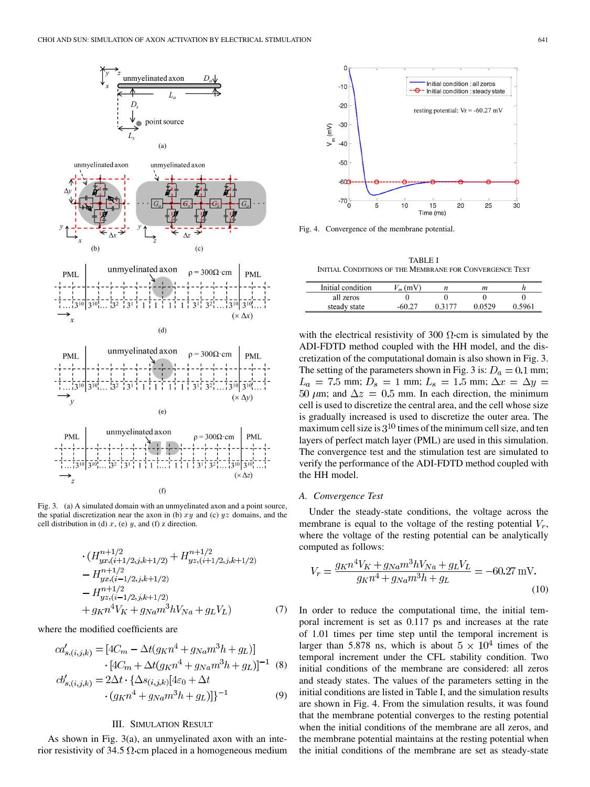

Fig. 3. (a) A simulated domain with an unmyelinated axon and a point source, the spatial discretization near the axon in (b)  $xy$  and (c)  $yz$  domains, and the cell distribution in (d)  $x$ , (e)  $y$ , and (f)  $z$  direction.

$$
\cdot (H_{yx,(i+1/2,j,k+1/2)}^{n+1/2} + H_{yz,(i+1/2,j,k+1/2)}^{n+1/2}
$$
  
\n
$$
- H_{yx,(i-1/2,j,k+1/2)}^{n+1/2}
$$
  
\n
$$
- H_{yz,(i-1/2,j,k+1/2)}^{n+1/2}
$$
  
\n
$$
+ g_{KN}^{4}V_{K} + g_{Na}m^{3}hV_{Na} + g_{L}V_{L}
$$
 (7)

where the modified coefficients are

$$
ca'_{s,(i,j,k)} = [4C_m - \Delta t(g_K n^4 + g_{Na} m^3 h + g_L)]
$$
  
\n
$$
\cdot [4C_m + \Delta t(g_K n^4 + g_{Na} m^3 h + g_L)]^{-1}
$$
 (8)  
\n
$$
cb'_{s,(i,j,k)} = 2\Delta t \cdot {\Delta s_{(i,j,k)}[4\varepsilon_0 + \Delta t
$$
  
\n
$$
\cdot (g_K n^4 + g_{Na} m^3 h + g_L)]^{-1}
$$
 (9)

# III. SIMULATION RESULT

As shown in Fig. 3(a), an unmyelinated axon with an interior resistivity of 34.5  $\Omega$  cm placed in a homogeneous medium



Fig. 4. Convergence of the membrane potential.

TABLE I INITIAL CONDITIONS OF THE MEMBRANE FOR CONVERGENCE TEST

| Initial condition | $_m$ (mV) | п      | m      |        |
|-------------------|-----------|--------|--------|--------|
| all zeros         |           |        |        |        |
| steady state      |           | በ 3177 | ስ ስናንዕ | 0.5961 |

with the electrical resistivity of 300  $\Omega$  cm is simulated by the ADI-FDTD method coupled with the HH model, and the discretization of the computational domain is also shown in Fig. 3. The setting of the parameters shown in Fig. 3 is:  $D_a = 0.1$  mm;  $L_a = 7.5$  mm;  $D_s = 1$  mm;  $L_s = 1.5$  mm;  $\Delta x = \Delta y =$ 50  $\mu$ m; and  $\Delta z = 0.5$  mm. In each direction, the minimum cell is used to discretize the central area, and the cell whose size is gradually increased is used to discretize the outer area. The maximum cell size is  $3^{10}$  times of the minimum cell size, and ten layers of perfect match layer (PML) are used in this simulation. The convergence test and the stimulation test are simulated to verify the performance of the ADI-FDTD method coupled with the HH model.

## *A. Convergence Test*

Under the steady-state conditions, the voltage across the membrane is equal to the voltage of the resting potential  $V_r$ , where the voltage of the resting potential can be analytically computed as follows:

$$
V_r = \frac{g_{K}n^4V_K + g_{Na}m^3hV_{Na} + g_LV_L}{g_{K}n^4 + g_{Na}m^3h + g_L} = -60.27 \text{ mV}.
$$
\n(10)

In order to reduce the computational time, the initial temporal increment is set as 0.117 ps and increases at the rate of 1.01 times per time step until the temporal increment is larger than 5.878 ns, which is about  $5 \times 10^4$  times of the temporal increment under the CFL stability condition. Two initial conditions of the membrane are considered: all zeros and steady states. The values of the parameters setting in the initial conditions are listed in Table I, and the simulation results are shown in Fig. 4. From the simulation results, it was found that the membrane potential converges to the resting potential when the initial conditions of the membrane are all zeros, and the membrane potential maintains at the resting potential when the initial conditions of the membrane are set as steady-state